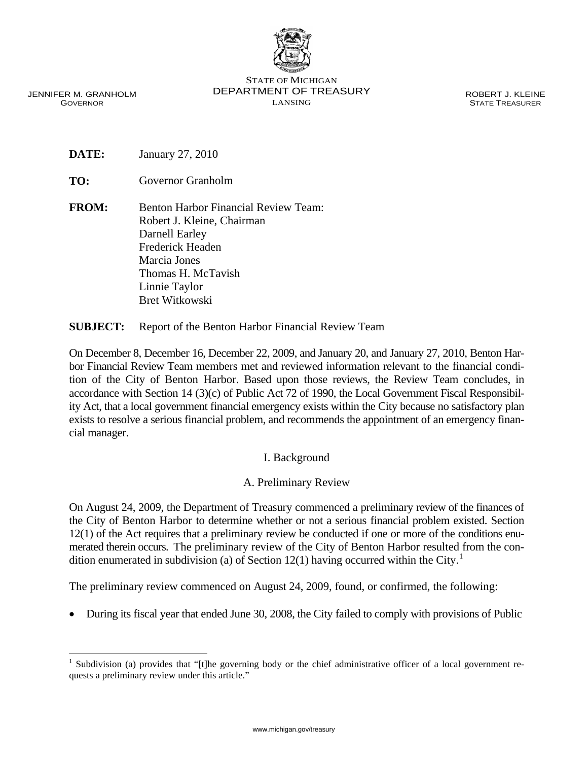www.michigan.gov/treasury

JENNIFER M. GRANHOLM GOVERNOR

 $\overline{a}$ 

STATE OF MICHIGAN DEPARTMENT OF TREASURY LANSING

ROBERT J. KLEINE STATE TREASURER

**DATE:** January 27, 2010

**TO:** Governor Granholm

**FROM:** Benton Harbor Financial Review Team: Robert J. Kleine, Chairman Darnell Earley Frederick Headen Marcia Jones Thomas H. McTavish Linnie Taylor Bret Witkowski

**SUBJECT:** Report of the Benton Harbor Financial Review Team

On December 8, December 16, December 22, 2009, and January 20, and January 27, 2010, Benton Harbor Financial Review Team members met and reviewed information relevant to the financial condition of the City of Benton Harbor. Based upon those reviews, the Review Team concludes, in accordance with Section 14 (3)(c) of Public Act 72 of 1990, the Local Government Fiscal Responsibility Act, that a local government financial emergency exists within the City because no satisfactory plan exists to resolve a serious financial problem, and recommends the appointment of an emergency financial manager.

I. Background

A. Preliminary Review

On August 24, 2009, the Department of Treasury commenced a preliminary review of the finances of the City of Benton Harbor to determine whether or not a serious financial problem existed. Section 12(1) of the Act requires that a preliminary review be conducted if one or more of the conditions enumerated therein occurs. The preliminary review of the City of Benton Harbor resulted from the con-dition enumerated in subdivision (a) of Section [1](#page-0-0)2(1) having occurred within the City.<sup>1</sup>

The preliminary review commenced on August 24, 2009, found, or confirmed, the following:

• During its fiscal year that ended June 30, 2008, the City failed to comply with provisions of Public



<span id="page-0-0"></span><sup>&</sup>lt;sup>1</sup> Subdivision (a) provides that "[t]he governing body or the chief administrative officer of a local government requests a preliminary review under this article."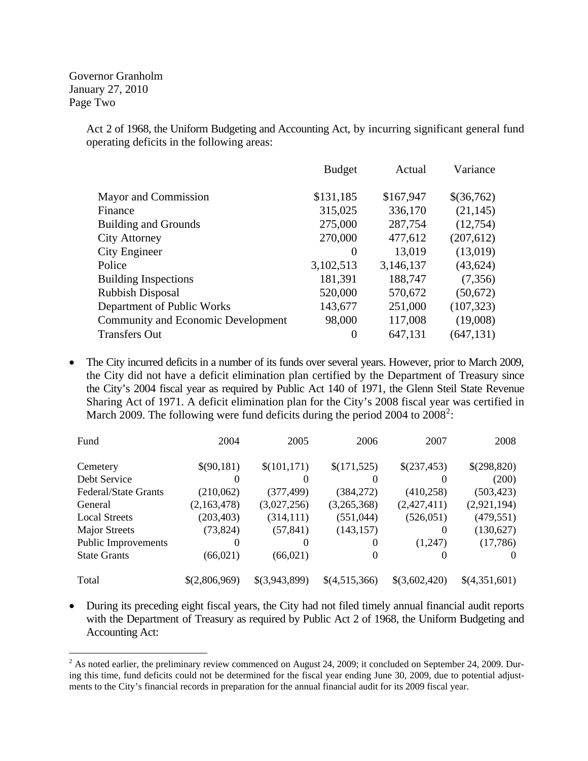Governor Granholm January 27, 2010 Page Two

> Act 2 of 1968, the Uniform Budgeting and Accounting Act, by incurring significant general fund operating deficits in the following areas:

|                                           | <b>Budget</b> | Actual    | Variance   |
|-------------------------------------------|---------------|-----------|------------|
| Mayor and Commission                      | \$131,185     | \$167,947 | \$(36,762) |
| Finance                                   | 315,025       | 336,170   | (21, 145)  |
| <b>Building and Grounds</b>               | 275,000       | 287,754   | (12,754)   |
| <b>City Attorney</b>                      | 270,000       | 477,612   | (207,612)  |
| City Engineer                             | $\theta$      | 13,019    | (13,019)   |
| Police                                    | 3,102,513     | 3,146,137 | (43, 624)  |
| <b>Building Inspections</b>               | 181,391       | 188,747   | (7,356)    |
| <b>Rubbish Disposal</b>                   | 520,000       | 570,672   | (50, 672)  |
| Department of Public Works                | 143,677       | 251,000   | (107, 323) |
| <b>Community and Economic Development</b> | 98,000        | 117,008   | (19,008)   |
| <b>Transfers Out</b>                      | $\theta$      | 647,131   | (647, 131) |

• The City incurred deficits in a number of its funds over several years. However, prior to March 2009, the City did not have a deficit elimination plan certified by the Department of Treasury since the City's 2004 fiscal year as required by Public Act 140 of 1971, the Glenn Steil State Revenue Sharing Act of 1971. A deficit elimination plan for the City's 2008 fiscal year was certified in March [2](#page-1-0)009. The following were fund deficits during the period 2004 to  $2008^2$ :

| Fund                        | 2004          | 2005          | 2006          | 2007          | 2008          |
|-----------------------------|---------------|---------------|---------------|---------------|---------------|
| Cemetery                    | \$(90,181)    | \$(101,171)   | \$(171,525)   | \$(237,453)   | \$(298,820)   |
| Debt Service                | $\theta$      | $\theta$      | $\theta$      | $\Omega$      | (200)         |
| <b>Federal/State Grants</b> | (210,062)     | (377, 499)    | (384, 272)    | (410, 258)    | (503, 423)    |
| General                     | (2,163,478)   | (3,027,256)   | (3,265,368)   | (2,427,411)   | (2,921,194)   |
| <b>Local Streets</b>        | (203, 403)    | (314, 111)    | (551, 044)    | (526, 051)    | (479, 551)    |
| <b>Major Streets</b>        | (73, 824)     | (57, 841)     | (143, 157)    | $_{0}$        | (130,627)     |
| Public Improvements         | 0             | $\Omega$      | $\Omega$      | (1,247)       | (17,786)      |
| <b>State Grants</b>         | (66, 021)     | (66, 021)     | $\theta$      | 0             | $\theta$      |
| Total                       | \$(2,806,969) | \$(3,943,899) | \$(4,515,366) | \$(3,602,420) | \$(4,351,601) |

• During its preceding eight fiscal years, the City had not filed timely annual financial audit reports with the Department of Treasury as required by Public Act 2 of 1968, the Uniform Budgeting and Accounting Act:

<span id="page-1-0"></span><sup>&</sup>lt;sup>2</sup> As noted earlier, the preliminary review commenced on August 24, 2009; it concluded on September 24, 2009. During this time, fund deficits could not be determined for the fiscal year ending June 30, 2009, due to potential adjustments to the City's financial records in preparation for the annual financial audit for its 2009 fiscal year.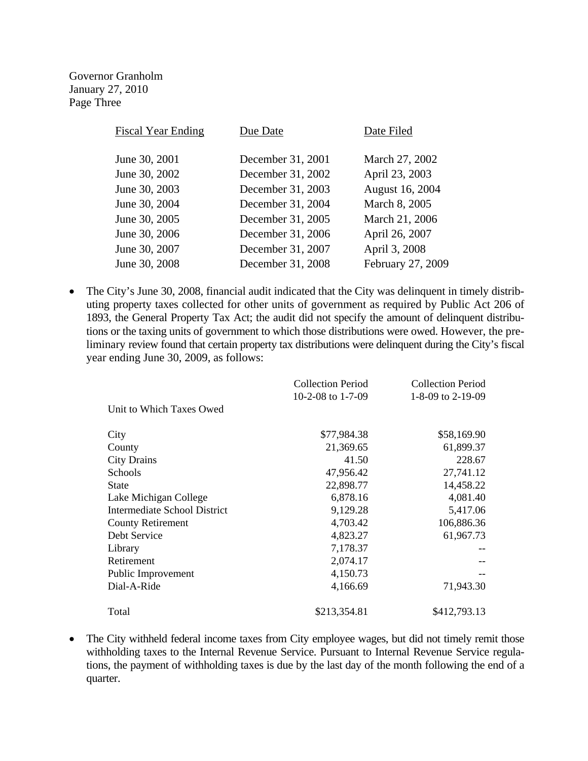Governor Granholm January 27, 2010 Page Three

| Due Date          | Date Filed        |
|-------------------|-------------------|
| December 31, 2001 | March 27, 2002    |
| December 31, 2002 | April 23, 2003    |
| December 31, 2003 | August 16, 2004   |
| December 31, 2004 | March 8, 2005     |
| December 31, 2005 | March 21, 2006    |
| December 31, 2006 | April 26, 2007    |
| December 31, 2007 | April 3, 2008     |
| December 31, 2008 | February 27, 2009 |
|                   |                   |

• The City's June 30, 2008, financial audit indicated that the City was delinquent in timely distributing property taxes collected for other units of government as required by Public Act 206 of 1893, the General Property Tax Act; the audit did not specify the amount of delinquent distributions or the taxing units of government to which those distributions were owed. However, the preliminary review found that certain property tax distributions were delinquent during the City's fiscal year ending June 30, 2009, as follows:

|                              | <b>Collection Period</b> | <b>Collection Period</b> |
|------------------------------|--------------------------|--------------------------|
|                              | 10-2-08 to 1-7-09        | 1-8-09 to 2-19-09        |
| Unit to Which Taxes Owed     |                          |                          |
| City                         | \$77,984.38              | \$58,169.90              |
| County                       | 21,369.65                | 61,899.37                |
| <b>City Drains</b>           | 41.50                    | 228.67                   |
| Schools                      | 47,956.42                | 27,741.12                |
| <b>State</b>                 | 22,898.77                | 14,458.22                |
| Lake Michigan College        | 6,878.16                 | 4,081.40                 |
| Intermediate School District | 9,129.28                 | 5,417.06                 |
| <b>County Retirement</b>     | 4,703.42                 | 106,886.36               |
| Debt Service                 | 4,823.27                 | 61,967.73                |
| Library                      | 7,178.37                 |                          |
| Retirement                   | 2,074.17                 |                          |
| Public Improvement           | 4,150.73                 |                          |
| Dial-A-Ride                  | 4,166.69                 | 71,943.30                |
| Total                        | \$213,354.81             | \$412,793.13             |

• The City withheld federal income taxes from City employee wages, but did not timely remit those withholding taxes to the Internal Revenue Service. Pursuant to Internal Revenue Service regulations, the payment of withholding taxes is due by the last day of the month following the end of a quarter.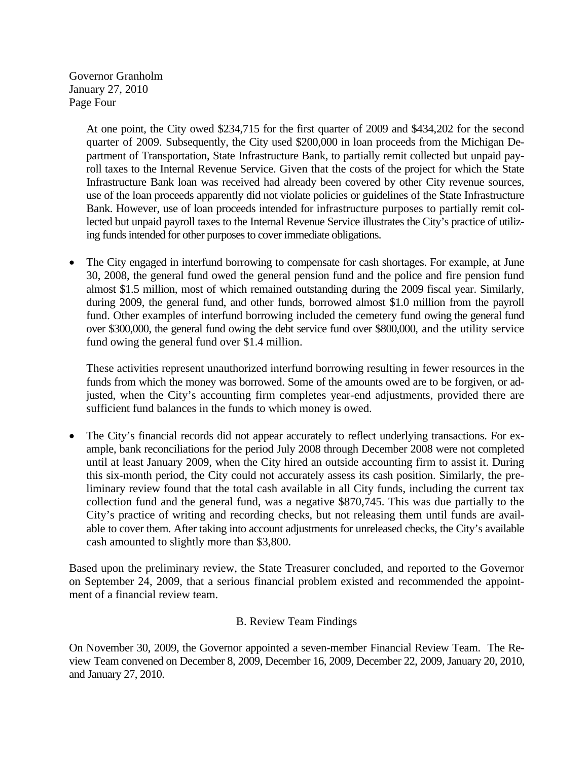Governor Granholm January 27, 2010 Page Four

> At one point, the City owed \$234,715 for the first quarter of 2009 and \$434,202 for the second quarter of 2009. Subsequently, the City used \$200,000 in loan proceeds from the Michigan Department of Transportation, State Infrastructure Bank, to partially remit collected but unpaid payroll taxes to the Internal Revenue Service. Given that the costs of the project for which the State Infrastructure Bank loan was received had already been covered by other City revenue sources, use of the loan proceeds apparently did not violate policies or guidelines of the State Infrastructure Bank. However, use of loan proceeds intended for infrastructure purposes to partially remit collected but unpaid payroll taxes to the Internal Revenue Service illustrates the City's practice of utilizing funds intended for other purposes to cover immediate obligations.

• The City engaged in interfund borrowing to compensate for cash shortages. For example, at June 30, 2008, the general fund owed the general pension fund and the police and fire pension fund almost \$1.5 million, most of which remained outstanding during the 2009 fiscal year. Similarly, during 2009, the general fund, and other funds, borrowed almost \$1.0 million from the payroll fund. Other examples of interfund borrowing included the cemetery fund owing the general fund over \$300,000, the general fund owing the debt service fund over \$800,000, and the utility service fund owing the general fund over \$1.4 million.

These activities represent unauthorized interfund borrowing resulting in fewer resources in the funds from which the money was borrowed. Some of the amounts owed are to be forgiven, or adjusted, when the City's accounting firm completes year-end adjustments, provided there are sufficient fund balances in the funds to which money is owed.

The City's financial records did not appear accurately to reflect underlying transactions. For example, bank reconciliations for the period July 2008 through December 2008 were not completed until at least January 2009, when the City hired an outside accounting firm to assist it. During this six-month period, the City could not accurately assess its cash position. Similarly, the preliminary review found that the total cash available in all City funds, including the current tax collection fund and the general fund, was a negative \$870,745. This was due partially to the City's practice of writing and recording checks, but not releasing them until funds are available to cover them. After taking into account adjustments for unreleased checks, the City's available cash amounted to slightly more than \$3,800.

Based upon the preliminary review, the State Treasurer concluded, and reported to the Governor on September 24, 2009, that a serious financial problem existed and recommended the appointment of a financial review team.

## B. Review Team Findings

On November 30, 2009, the Governor appointed a seven-member Financial Review Team. The Review Team convened on December 8, 2009, December 16, 2009, December 22, 2009, January 20, 2010, and January 27, 2010.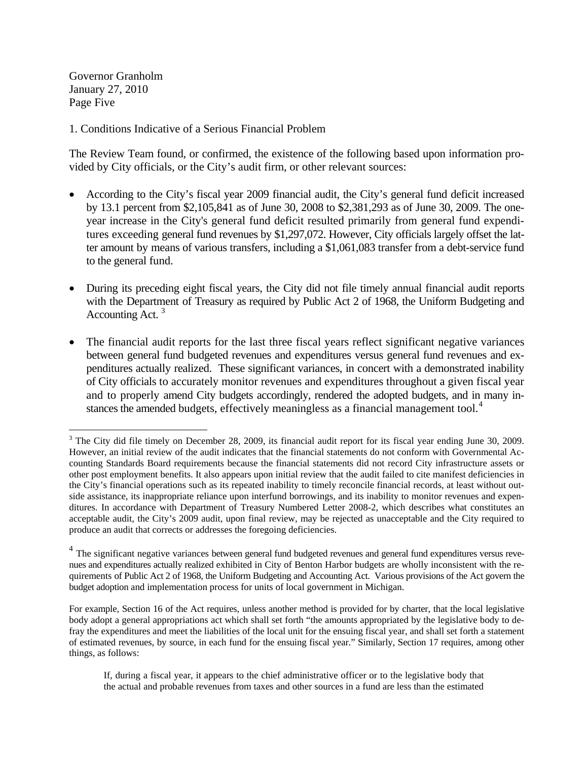Governor Granholm January 27, 2010 Page Five

 $\overline{a}$ 

1. Conditions Indicative of a Serious Financial Problem

The Review Team found, or confirmed, the existence of the following based upon information provided by City officials, or the City's audit firm, or other relevant sources:

- According to the City's fiscal year 2009 financial audit, the City's general fund deficit increased by 13.1 percent from \$2,105,841 as of June 30, 2008 to \$2,381,293 as of June 30, 2009. The oneyear increase in the City's general fund deficit resulted primarily from general fund expenditures exceeding general fund revenues by \$1,297,072. However, City officials largely offset the latter amount by means of various transfers, including a \$1,061,083 transfer from a debt-service fund to the general fund.
- During its preceding eight fiscal years, the City did not file timely annual financial audit reports with the Department of Treasury as required by Public Act 2 of 1968, the Uniform Budgeting and Accounting Act.<sup>[3](#page-4-0)</sup>
- The financial audit reports for the last three fiscal years reflect significant negative variances between general fund budgeted revenues and expenditures versus general fund revenues and expenditures actually realized. These significant variances, in concert with a demonstrated inability of City officials to accurately monitor revenues and expenditures throughout a given fiscal year and to properly amend City budgets accordingly, rendered the adopted budgets, and in many in-stances the amended budgets, effectively meaningless as a financial management tool.<sup>[4](#page-4-1)</sup>

<span id="page-4-0"></span> $3$  The City did file timely on December 28, 2009, its financial audit report for its fiscal year ending June 30, 2009. However, an initial review of the audit indicates that the financial statements do not conform with Governmental Accounting Standards Board requirements because the financial statements did not record City infrastructure assets or other post employment benefits. It also appears upon initial review that the audit failed to cite manifest deficiencies in the City's financial operations such as its repeated inability to timely reconcile financial records, at least without outside assistance, its inappropriate reliance upon interfund borrowings, and its inability to monitor revenues and expenditures. In accordance with Department of Treasury Numbered Letter 2008-2, which describes what constitutes an acceptable audit, the City's 2009 audit, upon final review, may be rejected as unacceptable and the City required to produce an audit that corrects or addresses the foregoing deficiencies.

<span id="page-4-1"></span><sup>&</sup>lt;sup>4</sup> The significant negative variances between general fund budgeted revenues and general fund expenditures versus revenues and expenditures actually realized exhibited in City of Benton Harbor budgets are wholly inconsistent with the requirements of Public Act 2 of 1968, the Uniform Budgeting and Accounting Act. Various provisions of the Act govern the budget adoption and implementation process for units of local government in Michigan.

For example, Section 16 of the Act requires, unless another method is provided for by charter, that the local legislative body adopt a general appropriations act which shall set forth "the amounts appropriated by the legislative body to defray the expenditures and meet the liabilities of the local unit for the ensuing fiscal year, and shall set forth a statement of estimated revenues, by source, in each fund for the ensuing fiscal year." Similarly, Section 17 requires, among other things, as follows:

If, during a fiscal year, it appears to the chief administrative officer or to the legislative body that the actual and probable revenues from taxes and other sources in a fund are less than the estimated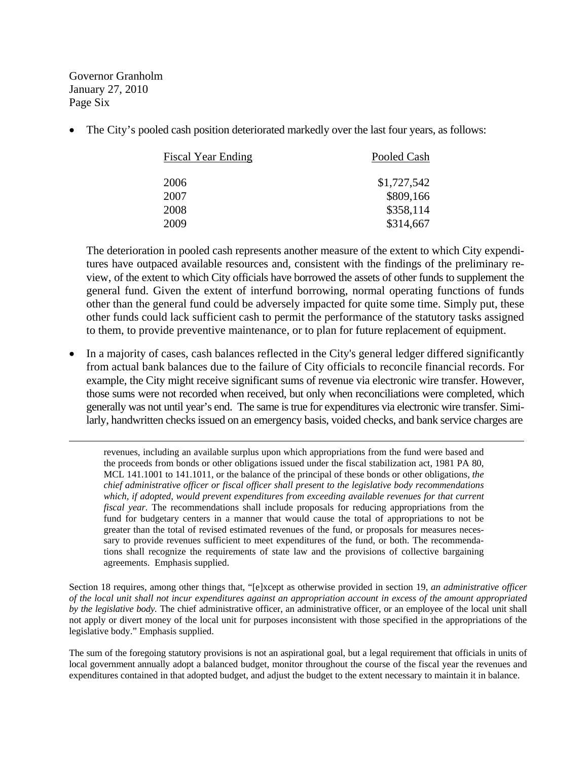Governor Granholm January 27, 2010 Page Six

The City's pooled cash position deteriorated markedly over the last four years, as follows:

| <b>Fiscal Year Ending</b> | Pooled Cash |
|---------------------------|-------------|
| 2006                      | \$1,727,542 |
| 2007                      | \$809,166   |
| 2008                      | \$358,114   |
| 2009                      | \$314,667   |

The deterioration in pooled cash represents another measure of the extent to which City expenditures have outpaced available resources and, consistent with the findings of the preliminary review, of the extent to which City officials have borrowed the assets of other funds to supplement the general fund. Given the extent of interfund borrowing, normal operating functions of funds other than the general fund could be adversely impacted for quite some time. Simply put, these other funds could lack sufficient cash to permit the performance of the statutory tasks assigned to them, to provide preventive maintenance, or to plan for future replacement of equipment.

In a majority of cases, cash balances reflected in the City's general ledger differed significantly from actual bank balances due to the failure of City officials to reconcile financial records. For example, the City might receive significant sums of revenue via electronic wire transfer. However, those sums were not recorded when received, but only when reconciliations were completed, which generally was not until year's end. The same is true for expenditures via electronic wire transfer. Similarly, handwritten checks issued on an emergency basis, voided checks, and bank service charges are

 revenues, including an available surplus upon which appropriations from the fund were based and the proceeds from bonds or other obligations issued under the fiscal stabilization act, 1981 PA 80, MCL 141.1001 to 141.1011, or the balance of the principal of these bonds or other obligations, *the chief administrative officer or fiscal officer shall present to the legislative body recommendations*  which, if adopted, would prevent expenditures from exceeding available revenues for that current *fiscal year.* The recommendations shall include proposals for reducing appropriations from the fund for budgetary centers in a manner that would cause the total of appropriations to not be greater than the total of revised estimated revenues of the fund, or proposals for measures necessary to provide revenues sufficient to meet expenditures of the fund, or both. The recommendations shall recognize the requirements of state law and the provisions of collective bargaining agreements. Emphasis supplied.

Section 18 requires, among other things that, "[e]xcept as otherwise provided in section 19, *an administrative officer of the local unit shall not incur expenditures against an appropriation account in excess of the amount appropriated by the legislative body.* The chief administrative officer, an administrative officer, or an employee of the local unit shall not apply or divert money of the local unit for purposes inconsistent with those specified in the appropriations of the legislative body." Emphasis supplied.

The sum of the foregoing statutory provisions is not an aspirational goal, but a legal requirement that officials in units of local government annually adopt a balanced budget, monitor throughout the course of the fiscal year the revenues and expenditures contained in that adopted budget, and adjust the budget to the extent necessary to maintain it in balance.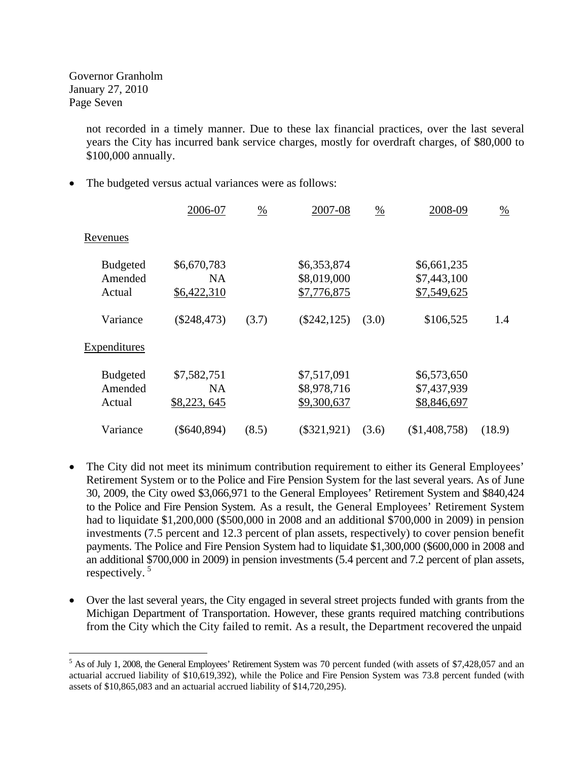Governor Granholm January 27, 2010 Page Seven

 $\overline{a}$ 

not recorded in a timely manner. Due to these lax financial practices, over the last several years the City has incurred bank service charges, mostly for overdraft charges, of \$80,000 to \$100,000 annually.

The budgeted versus actual variances were as follows:

|                                      | 2006-07                                 | $\frac{0}{0}$ | 2007-08                                   | $\frac{0}{0}$ | 2008-09                                   | $\frac{0}{0}$ |
|--------------------------------------|-----------------------------------------|---------------|-------------------------------------------|---------------|-------------------------------------------|---------------|
| Revenues                             |                                         |               |                                           |               |                                           |               |
| <b>Budgeted</b><br>Amended<br>Actual | \$6,670,783<br>NA<br>\$6,422,310        |               | \$6,353,874<br>\$8,019,000<br>\$7,776,875 |               | \$6,661,235<br>\$7,443,100<br>\$7,549,625 |               |
| Variance                             | $(\$248,473)$                           | (3.7)         | $(\$242, 125)$                            | (3.0)         | \$106,525                                 | 1.4           |
| Expenditures                         |                                         |               |                                           |               |                                           |               |
| <b>Budgeted</b><br>Amended<br>Actual | \$7,582,751<br><b>NA</b><br>\$8,223,645 |               | \$7,517,091<br>\$8,978,716<br>\$9,300,637 |               | \$6,573,650<br>\$7,437,939<br>\$8,846,697 |               |
| Variance                             | $(\$640,894)$                           | (8.5)         | $(\$321,921)$                             | (3.6)         | (\$1,408,758)                             | (18.9)        |

- The City did not meet its minimum contribution requirement to either its General Employees' Retirement System or to the Police and Fire Pension System for the last several years. As of June 30, 2009, the City owed \$3,066,971 to the General Employees' Retirement System and \$840,424 to the Police and Fire Pension System. As a result, the General Employees' Retirement System had to liquidate \$1,200,000 (\$500,000 in 2008 and an additional \$700,000 in 2009) in pension investments (7.5 percent and 12.3 percent of plan assets, respectively) to cover pension benefit payments. The Police and Fire Pension System had to liquidate \$1,300,000 (\$600,000 in 2008 and an additional \$700,000 in 2009) in pension investments (5.4 percent and 7.2 percent of plan assets, respectively.<sup>[5](#page-6-0)</sup>
- Over the last several years, the City engaged in several street projects funded with grants from the Michigan Department of Transportation. However, these grants required matching contributions from the City which the City failed to remit. As a result, the Department recovered the unpaid

<span id="page-6-0"></span><sup>&</sup>lt;sup>5</sup> As of July 1, 2008, the General Employees' Retirement System was 70 percent funded (with assets of \$7,428,057 and an actuarial accrued liability of \$10,619,392), while the Police and Fire Pension System was 73.8 percent funded (with assets of \$10,865,083 and an actuarial accrued liability of \$14,720,295).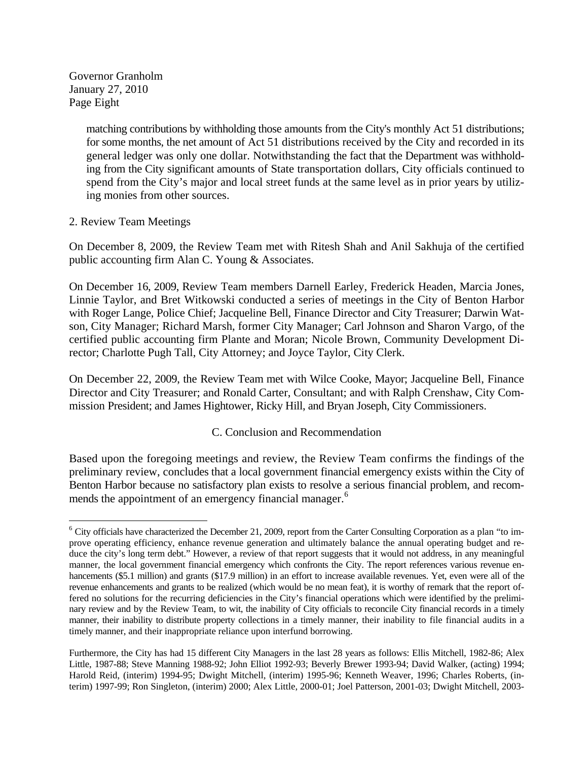Governor Granholm January 27, 2010 Page Eight

> matching contributions by withholding those amounts from the City's monthly Act 51 distributions; for some months, the net amount of Act 51 distributions received by the City and recorded in its general ledger was only one dollar. Notwithstanding the fact that the Department was withholding from the City significant amounts of State transportation dollars, City officials continued to spend from the City's major and local street funds at the same level as in prior years by utilizing monies from other sources.

## 2. Review Team Meetings

 $\overline{a}$ 

On December 8, 2009, the Review Team met with Ritesh Shah and Anil Sakhuja of the certified public accounting firm Alan C. Young & Associates.

On December 16, 2009, Review Team members Darnell Earley, Frederick Headen, Marcia Jones, Linnie Taylor, and Bret Witkowski conducted a series of meetings in the City of Benton Harbor with Roger Lange, Police Chief; Jacqueline Bell, Finance Director and City Treasurer; Darwin Watson, City Manager; Richard Marsh, former City Manager; Carl Johnson and Sharon Vargo, of the certified public accounting firm Plante and Moran; Nicole Brown, Community Development Director; Charlotte Pugh Tall, City Attorney; and Joyce Taylor, City Clerk.

On December 22, 2009, the Review Team met with Wilce Cooke, Mayor; Jacqueline Bell, Finance Director and City Treasurer; and Ronald Carter, Consultant; and with Ralph Crenshaw, City Commission President; and James Hightower, Ricky Hill, and Bryan Joseph, City Commissioners.

## C. Conclusion and Recommendation

Based upon the foregoing meetings and review, the Review Team confirms the findings of the preliminary review, concludes that a local government financial emergency exists within the City of Benton Harbor because no satisfactory plan exists to resolve a serious financial problem, and recom-mends the appointment of an emergency financial manager.<sup>[6](#page-7-0)</sup>

<span id="page-7-0"></span> $6$  City officials have characterized the December 21, 2009, report from the Carter Consulting Corporation as a plan "to improve operating efficiency, enhance revenue generation and ultimately balance the annual operating budget and reduce the city's long term debt." However, a review of that report suggests that it would not address, in any meaningful manner, the local government financial emergency which confronts the City. The report references various revenue enhancements (\$5.1 million) and grants (\$17.9 million) in an effort to increase available revenues. Yet, even were all of the revenue enhancements and grants to be realized (which would be no mean feat), it is worthy of remark that the report offered no solutions for the recurring deficiencies in the City's financial operations which were identified by the preliminary review and by the Review Team, to wit, the inability of City officials to reconcile City financial records in a timely manner, their inability to distribute property collections in a timely manner, their inability to file financial audits in a timely manner, and their inappropriate reliance upon interfund borrowing.

Furthermore, the City has had 15 different City Managers in the last 28 years as follows: Ellis Mitchell, 1982-86; Alex Little, 1987-88; Steve Manning 1988-92; John Elliot 1992-93; Beverly Brewer 1993-94; David Walker, (acting) 1994; Harold Reid, (interim) 1994-95; Dwight Mitchell, (interim) 1995-96; Kenneth Weaver, 1996; Charles Roberts, (interim) 1997-99; Ron Singleton, (interim) 2000; Alex Little, 2000-01; Joel Patterson, 2001-03; Dwight Mitchell, 2003-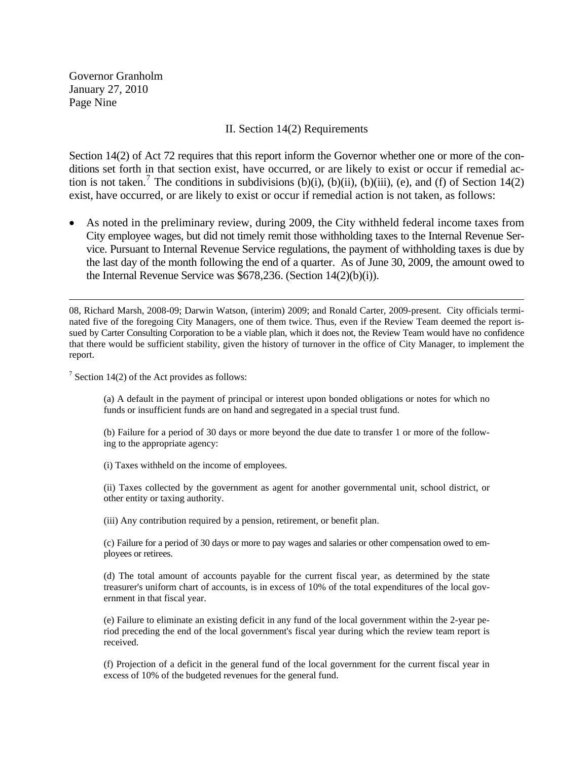Governor Granholm January 27, 2010 Page Nine

## II. Section 14(2) Requirements

Section 14(2) of Act 72 requires that this report inform the Governor whether one or more of the conditions set forth in that section exist, have occurred, or are likely to exist or occur if remedial ac-tion is not taken.<sup>[7](#page-8-0)</sup> The conditions in subdivisions (b)(i), (b)(ii), (b)(iii), (e), and (f) of Section 14(2) exist, have occurred, or are likely to exist or occur if remedial action is not taken, as follows:

• As noted in the preliminary review, during 2009, the City withheld federal income taxes from City employee wages, but did not timely remit those withholding taxes to the Internal Revenue Service. Pursuant to Internal Revenue Service regulations, the payment of withholding taxes is due by the last day of the month following the end of a quarter. As of June 30, 2009, the amount owed to the Internal Revenue Service was \$678,236. (Section 14(2)(b)(i)).

<span id="page-8-0"></span> $7$  Section 14(2) of the Act provides as follows:

(a) A default in the payment of principal or interest upon bonded obligations or notes for which no funds or insufficient funds are on hand and segregated in a special trust fund.

(b) Failure for a period of 30 days or more beyond the due date to transfer 1 or more of the following to the appropriate agency:

(i) Taxes withheld on the income of employees.

(ii) Taxes collected by the government as agent for another governmental unit, school district, or other entity or taxing authority.

(iii) Any contribution required by a pension, retirement, or benefit plan.

(c) Failure for a period of 30 days or more to pay wages and salaries or other compensation owed to employees or retirees.

(d) The total amount of accounts payable for the current fiscal year, as determined by the state treasurer's uniform chart of accounts, is in excess of 10% of the total expenditures of the local government in that fiscal year.

(e) Failure to eliminate an existing deficit in any fund of the local government within the 2-year period preceding the end of the local government's fiscal year during which the review team report is received.

(f) Projection of a deficit in the general fund of the local government for the current fiscal year in excess of 10% of the budgeted revenues for the general fund.

 <sup>08,</sup> Richard Marsh, 2008-09; Darwin Watson, (interim) 2009; and Ronald Carter, 2009-present. City officials terminated five of the foregoing City Managers, one of them twice. Thus, even if the Review Team deemed the report issued by Carter Consulting Corporation to be a viable plan, which it does not, the Review Team would have no confidence that there would be sufficient stability, given the history of turnover in the office of City Manager, to implement the report.